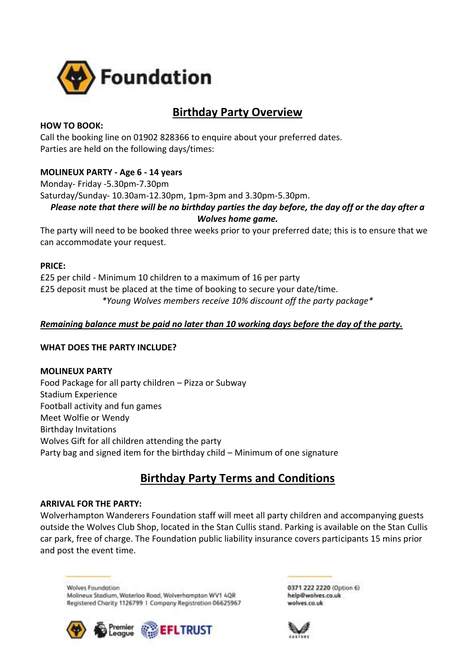

# **Birthday Party Overview**

## **HOW TO BOOK:**

Call the booking line on 01902 828366 to enquire about your preferred dates. Parties are held on the following days/times:

## **MOLINEUX PARTY - Age 6 - 14 years**

Monday- Friday -5.30pm-7.30pm

Saturday/Sunday- 10.30am-12.30pm, 1pm-3pm and 3.30pm-5.30pm.

## *Please note that there will be no birthday parties the day before, the day off or the day after a Wolves home game.*

The party will need to be booked three weeks prior to your preferred date; this is to ensure that we can accommodate your request.

#### **PRICE:**

£25 per child - Minimum 10 children to a maximum of 16 per party £25 deposit must be placed at the time of booking to secure your date/time. *\*Young Wolves members receive 10% discount off the party package\**

## *Remaining balance must be paid no later than 10 working days before the day of the party.*

#### **WHAT DOES THE PARTY INCLUDE?**

**MOLINEUX PARTY** Food Package for all party children – Pizza or Subway Stadium Experience Football activity and fun games Meet Wolfie or Wendy Birthday Invitations Wolves Gift for all children attending the party Party bag and signed item for the birthday child – Minimum of one signature

# **Birthday Party Terms and Conditions**

#### **ARRIVAL FOR THE PARTY:**

Wolverhampton Wanderers Foundation staff will meet all party children and accompanying guests outside the Wolves Club Shop, located in the Stan Cullis stand. Parking is available on the Stan Cullis car park, free of charge. The Foundation public liability insurance covers participants 15 mins prior and post the event time.

**Walves Foundation** Molineux Stadium, Waterloo Road, Wolverhampton WV1 4QR Registered Charity 1126799 | Company Registration 06625967



0371 222 2220 (Option 6) help@wolves.co.uk wolves.co.uk